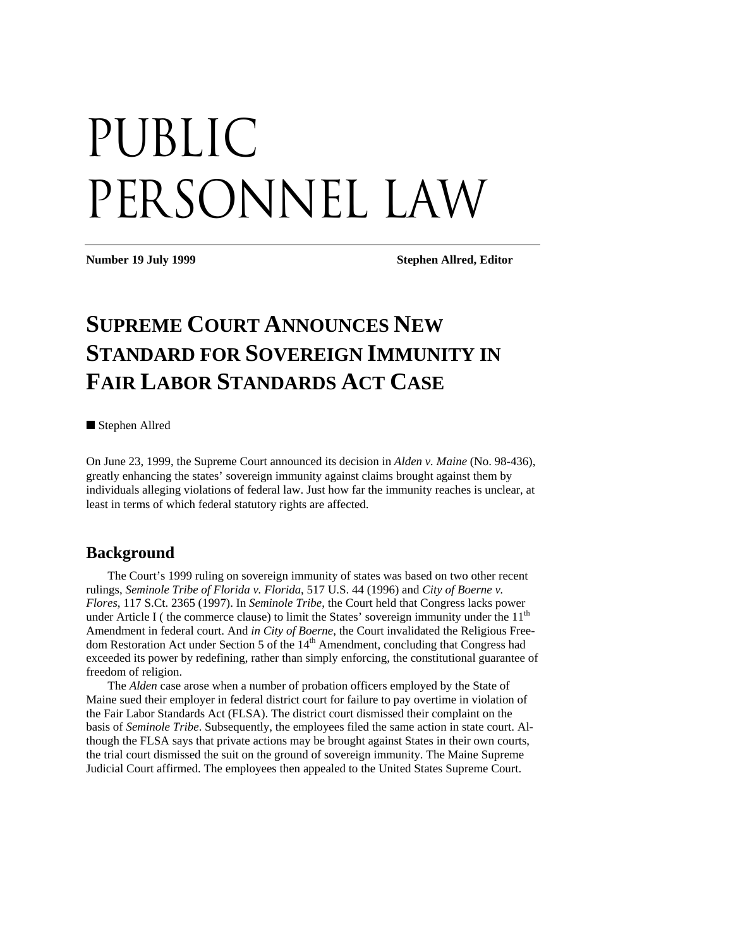# PUBLIC PERSONNEL LAW

**Number 19 July 1999 Stephen Allred, Editor** 

# **SUPREME COURT ANNOUNCES NEW STANDARD FOR SOVEREIGN IMMUNITY IN FAIR LABOR STANDARDS ACT CASE**

■ Stephen Allred

On June 23, 1999, the Supreme Court announced its decision in *Alden v. Maine* (No. 98-436), greatly enhancing the states' sovereign immunity against claims brought against them by individuals alleging violations of federal law. Just how far the immunity reaches is unclear, at least in terms of which federal statutory rights are affected.

## **Background**

The Court's 1999 ruling on sovereign immunity of states was based on two other recent rulings, *Seminole Tribe of Florida v. Florida*, 517 U.S. 44 (1996) and *City of Boerne v. Flores*, 117 S.Ct. 2365 (1997). In *Seminole Tribe*, the Court held that Congress lacks power under Article I (the commerce clause) to limit the States' sovereign immunity under the  $11<sup>th</sup>$ Amendment in federal court. And *in City of Boerne*, the Court invalidated the Religious Freedom Restoration Act under Section 5 of the 14<sup>th</sup> Amendment, concluding that Congress had exceeded its power by redefining, rather than simply enforcing, the constitutional guarantee of freedom of religion.

The *Alden* case arose when a number of probation officers employed by the State of Maine sued their employer in federal district court for failure to pay overtime in violation of the Fair Labor Standards Act (FLSA). The district court dismissed their complaint on the basis of *Seminole Tribe*. Subsequently, the employees filed the same action in state court. Although the FLSA says that private actions may be brought against States in their own courts, the trial court dismissed the suit on the ground of sovereign immunity. The Maine Supreme Judicial Court affirmed. The employees then appealed to the United States Supreme Court.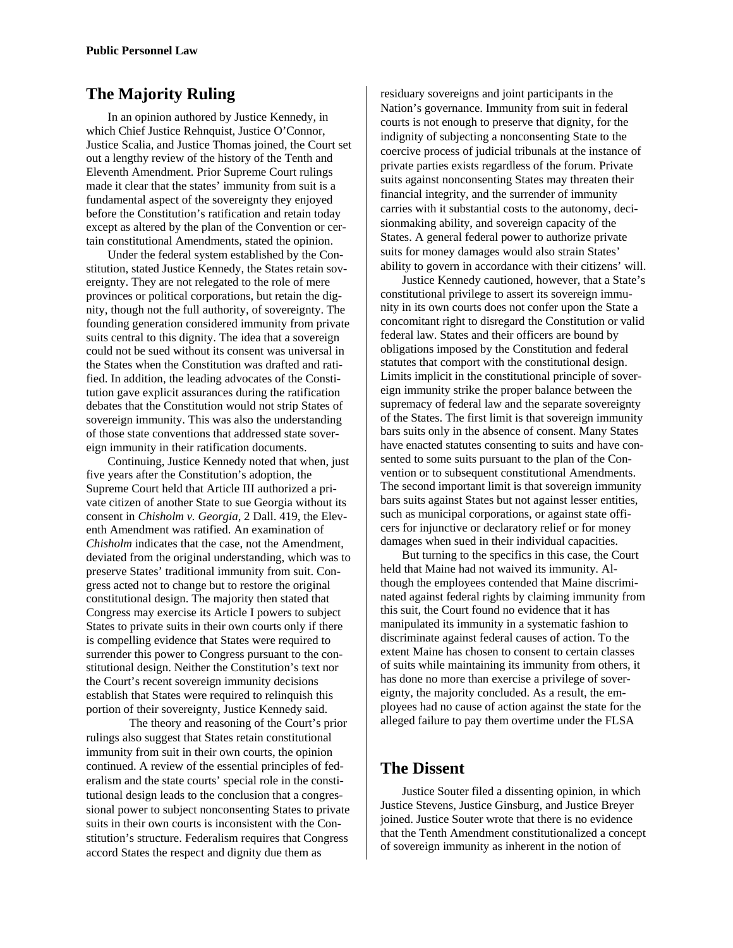# **The Majority Ruling**

In an opinion authored by Justice Kennedy, in which Chief Justice Rehnquist, Justice O'Connor, Justice Scalia, and Justice Thomas joined, the Court set out a lengthy review of the history of the Tenth and Eleventh Amendment. Prior Supreme Court rulings made it clear that the states' immunity from suit is a fundamental aspect of the sovereignty they enjoyed before the Constitution's ratification and retain today except as altered by the plan of the Convention or certain constitutional Amendments, stated the opinion.

Under the federal system established by the Constitution, stated Justice Kennedy, the States retain sovereignty. They are not relegated to the role of mere provinces or political corporations, but retain the dignity, though not the full authority, of sovereignty. The founding generation considered immunity from private suits central to this dignity. The idea that a sovereign could not be sued without its consent was universal in the States when the Constitution was drafted and ratified. In addition, the leading advocates of the Constitution gave explicit assurances during the ratification debates that the Constitution would not strip States of sovereign immunity. This was also the understanding of those state conventions that addressed state sovereign immunity in their ratification documents.

Continuing, Justice Kennedy noted that when, just five years after the Constitution's adoption, the Supreme Court held that Article III authorized a private citizen of another State to sue Georgia without its consent in *Chisholm v. Georgia*, 2 Dall. 419, the Eleventh Amendment was ratified. An examination of *Chisholm* indicates that the case, not the Amendment, deviated from the original understanding, which was to preserve States' traditional immunity from suit. Congress acted not to change but to restore the original constitutional design. The majority then stated that Congress may exercise its Article I powers to subject States to private suits in their own courts only if there is compelling evidence that States were required to surrender this power to Congress pursuant to the constitutional design. Neither the Constitution's text nor the Court's recent sovereign immunity decisions establish that States were required to relinquish this portion of their sovereignty, Justice Kennedy said.

The theory and reasoning of the Court's prior rulings also suggest that States retain constitutional immunity from suit in their own courts, the opinion continued. A review of the essential principles of federalism and the state courts' special role in the constitutional design leads to the conclusion that a congressional power to subject nonconsenting States to private suits in their own courts is inconsistent with the Constitution's structure. Federalism requires that Congress accord States the respect and dignity due them as

residuary sovereigns and joint participants in the Nation's governance. Immunity from suit in federal courts is not enough to preserve that dignity, for the indignity of subjecting a nonconsenting State to the coercive process of judicial tribunals at the instance of private parties exists regardless of the forum. Private suits against nonconsenting States may threaten their financial integrity, and the surrender of immunity carries with it substantial costs to the autonomy, decisionmaking ability, and sovereign capacity of the States. A general federal power to authorize private suits for money damages would also strain States' ability to govern in accordance with their citizens' will.

Justice Kennedy cautioned, however, that a State's constitutional privilege to assert its sovereign immunity in its own courts does not confer upon the State a concomitant right to disregard the Constitution or valid federal law. States and their officers are bound by obligations imposed by the Constitution and federal statutes that comport with the constitutional design. Limits implicit in the constitutional principle of sovereign immunity strike the proper balance between the supremacy of federal law and the separate sovereignty of the States. The first limit is that sovereign immunity bars suits only in the absence of consent. Many States have enacted statutes consenting to suits and have consented to some suits pursuant to the plan of the Convention or to subsequent constitutional Amendments. The second important limit is that sovereign immunity bars suits against States but not against lesser entities, such as municipal corporations, or against state officers for injunctive or declaratory relief or for money damages when sued in their individual capacities.

But turning to the specifics in this case, the Court held that Maine had not waived its immunity. Although the employees contended that Maine discriminated against federal rights by claiming immunity from this suit, the Court found no evidence that it has manipulated its immunity in a systematic fashion to discriminate against federal causes of action. To the extent Maine has chosen to consent to certain classes of suits while maintaining its immunity from others, it has done no more than exercise a privilege of sovereignty, the majority concluded. As a result, the employees had no cause of action against the state for the alleged failure to pay them overtime under the FLSA

## **The Dissent**

Justice Souter filed a dissenting opinion, in which Justice Stevens, Justice Ginsburg, and Justice Breyer joined. Justice Souter wrote that there is no evidence that the Tenth Amendment constitutionalized a concept of sovereign immunity as inherent in the notion of